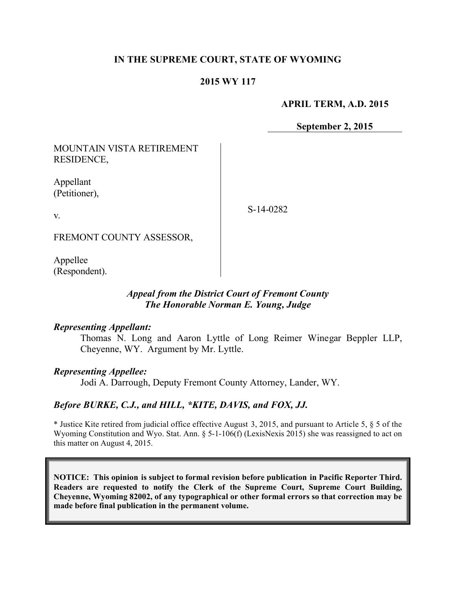# **IN THE SUPREME COURT, STATE OF WYOMING**

# **2015 WY 117**

**APRIL TERM, A.D. 2015**

**September 2, 2015**

MOUNTAIN VISTA RETIREMENT RESIDENCE,

Appellant (Petitioner),

v.

S-14-0282

FREMONT COUNTY ASSESSOR,

Appellee (Respondent).

# *Appeal from the District Court of Fremont County The Honorable Norman E. Young, Judge*

#### *Representing Appellant:*

Thomas N. Long and Aaron Lyttle of Long Reimer Winegar Beppler LLP, Cheyenne, WY. Argument by Mr. Lyttle.

#### *Representing Appellee:*

Jodi A. Darrough, Deputy Fremont County Attorney, Lander, WY.

#### *Before BURKE, C.J., and HILL, \*KITE, DAVIS, and FOX, JJ.*

\* Justice Kite retired from judicial office effective August 3, 2015, and pursuant to Article 5, § 5 of the Wyoming Constitution and Wyo. Stat. Ann. § 5-1-106(f) (LexisNexis 2015) she was reassigned to act on this matter on August 4, 2015.

**NOTICE: This opinion is subject to formal revision before publication in Pacific Reporter Third. Readers are requested to notify the Clerk of the Supreme Court, Supreme Court Building, Cheyenne, Wyoming 82002, of any typographical or other formal errors so that correction may be made before final publication in the permanent volume.**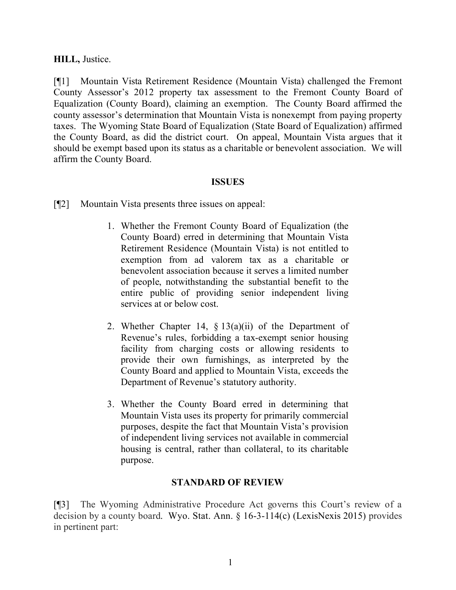### **HILL,** Justice.

[¶1] Mountain Vista Retirement Residence (Mountain Vista) challenged the Fremont County Assessor's 2012 property tax assessment to the Fremont County Board of Equalization (County Board), claiming an exemption. The County Board affirmed the county assessor's determination that Mountain Vista is nonexempt from paying property taxes. The Wyoming State Board of Equalization (State Board of Equalization) affirmed the County Board, as did the district court. On appeal, Mountain Vista argues that it should be exempt based upon its status as a charitable or benevolent association. We will affirm the County Board.

### **ISSUES**

[¶2] Mountain Vista presents three issues on appeal:

- 1. Whether the Fremont County Board of Equalization (the County Board) erred in determining that Mountain Vista Retirement Residence (Mountain Vista) is not entitled to exemption from ad valorem tax as a charitable or benevolent association because it serves a limited number of people, notwithstanding the substantial benefit to the entire public of providing senior independent living services at or below cost.
- 2. Whether Chapter 14,  $\S$  13(a)(ii) of the Department of Revenue's rules, forbidding a tax-exempt senior housing facility from charging costs or allowing residents to provide their own furnishings, as interpreted by the County Board and applied to Mountain Vista, exceeds the Department of Revenue's statutory authority.
- 3. Whether the County Board erred in determining that Mountain Vista uses its property for primarily commercial purposes, despite the fact that Mountain Vista's provision of independent living services not available in commercial housing is central, rather than collateral, to its charitable purpose.

# **STANDARD OF REVIEW**

[¶3] The Wyoming Administrative Procedure Act governs this Court's review of a decision by a county board. Wyo. Stat. Ann. § 16-3-114(c) (LexisNexis 2015) provides in pertinent part: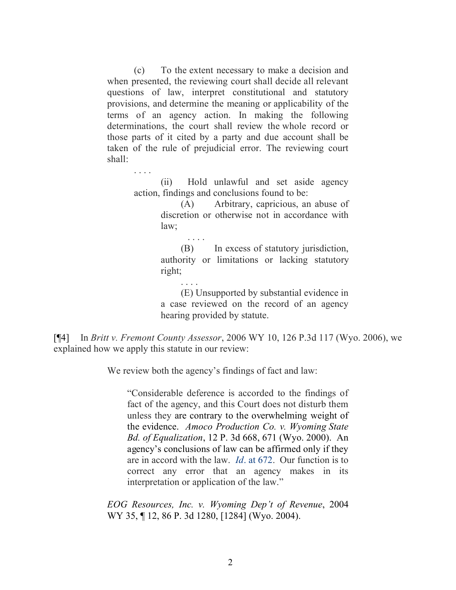(c) To the extent necessary to make a decision and when presented, the reviewing court shall decide all relevant questions of law, interpret constitutional and statutory provisions, and determine the meaning or applicability of the terms of an agency action. In making the following determinations, the court shall review the whole record or those parts of it cited by a party and due account shall be taken of the rule of prejudicial error. The reviewing court shall:

. . . .

(ii) Hold unlawful and set aside agency action, findings and conclusions found to be:

> (A) Arbitrary, capricious, an abuse of discretion or otherwise not in accordance with law;

> (B) In excess of statutory jurisdiction, authority or limitations or lacking statutory right;

. . . . (E) Unsupported by substantial evidence in a case reviewed on the record of an agency hearing provided by statute.

[¶4] In *Britt v. Fremont County Assessor*, 2006 WY 10, 126 P.3d 117 (Wyo. 2006), we explained how we apply this statute in our review:

We review both the agency's findings of fact and law:

. . . .

"Considerable deference is accorded to the findings of fact of the agency, and this Court does not disturb them unless they are contrary to the overwhelming weight of the evidence. *Amoco Production Co. v. Wyoming State Bd. of Equalization*, 12 P. 3d 668, 671 (Wyo. 2000). An agency's conclusions of law can be affirmed only if they are in accord with the law. *Id*. at 672. Our function is to correct any error that an agency makes in its interpretation or application of the law."

*EOG Resources, Inc. v. Wyoming Dep't of Revenue*, 2004 WY 35, ¶ 12, 86 P. 3d 1280, [1284] (Wyo. 2004).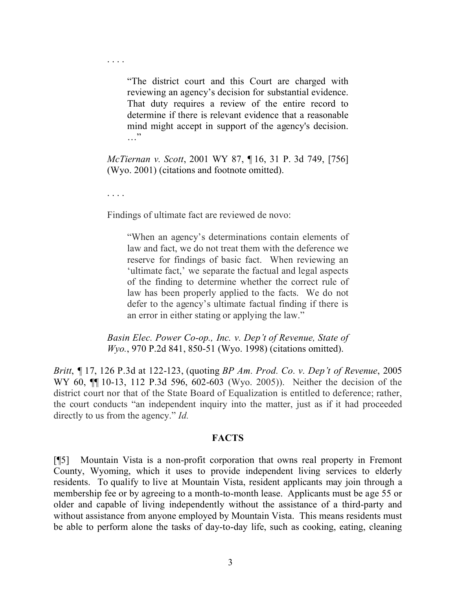. . . .

"The district court and this Court are charged with reviewing an agency's decision for substantial evidence. That duty requires a review of the entire record to determine if there is relevant evidence that a reasonable mind might accept in support of the agency's decision.  $\cdots$ 

*McTiernan v. Scott*, 2001 WY 87, ¶ 16, 31 P. 3d 749, [756] (Wyo. 2001) (citations and footnote omitted).

. . . .

Findings of ultimate fact are reviewed de novo:

"When an agency's determinations contain elements of law and fact, we do not treat them with the deference we reserve for findings of basic fact. When reviewing an 'ultimate fact,' we separate the factual and legal aspects of the finding to determine whether the correct rule of law has been properly applied to the facts. We do not defer to the agency's ultimate factual finding if there is an error in either stating or applying the law."

*Basin Elec. Power Co-op., Inc. v. Dep't of Revenue, State of Wyo.*, 970 P.2d 841, 850-51 (Wyo. 1998) (citations omitted).

*Britt*, *¶* 17, 126 P.3d at 122-123, (quoting *BP Am. Prod. Co. v. Dep't of Revenue*, 2005 WY 60, ¶¶ 10-13, 112 P.3d 596, 602-603 (Wyo. 2005)).Neither the decision of the district court nor that of the State Board of Equalization is entitled to deference; rather, the court conducts "an independent inquiry into the matter, just as if it had proceeded directly to us from the agency." *Id.*

#### **FACTS**

[¶5] Mountain Vista is a non-profit corporation that owns real property in Fremont County, Wyoming, which it uses to provide independent living services to elderly residents. To qualify to live at Mountain Vista, resident applicants may join through a membership fee or by agreeing to a month-to-month lease. Applicants must be age 55 or older and capable of living independently without the assistance of a third-party and without assistance from anyone employed by Mountain Vista. This means residents must be able to perform alone the tasks of day-to-day life, such as cooking, eating, cleaning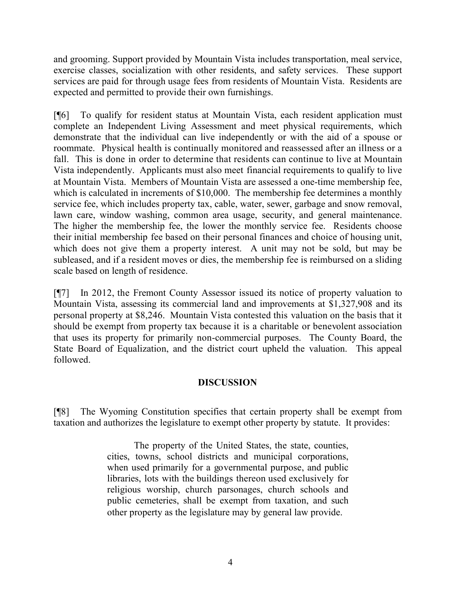and grooming. Support provided by Mountain Vista includes transportation, meal service, exercise classes, socialization with other residents, and safety services. These support services are paid for through usage fees from residents of Mountain Vista. Residents are expected and permitted to provide their own furnishings.

[¶6] To qualify for resident status at Mountain Vista, each resident application must complete an Independent Living Assessment and meet physical requirements, which demonstrate that the individual can live independently or with the aid of a spouse or roommate. Physical health is continually monitored and reassessed after an illness or a fall. This is done in order to determine that residents can continue to live at Mountain Vista independently. Applicants must also meet financial requirements to qualify to live at Mountain Vista. Members of Mountain Vista are assessed a one-time membership fee, which is calculated in increments of \$10,000. The membership fee determines a monthly service fee, which includes property tax, cable, water, sewer, garbage and snow removal, lawn care, window washing, common area usage, security, and general maintenance. The higher the membership fee, the lower the monthly service fee. Residents choose their initial membership fee based on their personal finances and choice of housing unit, which does not give them a property interest. A unit may not be sold, but may be subleased, and if a resident moves or dies, the membership fee is reimbursed on a sliding scale based on length of residence.

[¶7] In 2012, the Fremont County Assessor issued its notice of property valuation to Mountain Vista, assessing its commercial land and improvements at \$1,327,908 and its personal property at \$8,246. Mountain Vista contested this valuation on the basis that it should be exempt from property tax because it is a charitable or benevolent association that uses its property for primarily non-commercial purposes. The County Board, the State Board of Equalization, and the district court upheld the valuation. This appeal followed.

# **DISCUSSION**

[¶8] The Wyoming Constitution specifies that certain property shall be exempt from taxation and authorizes the legislature to exempt other property by statute. It provides:

> The property of the United States, the state, counties, cities, towns, school districts and municipal corporations, when used primarily for a governmental purpose, and public libraries, lots with the buildings thereon used exclusively for religious worship, church parsonages, church schools and public cemeteries, shall be exempt from taxation, and such other property as the legislature may by general law provide.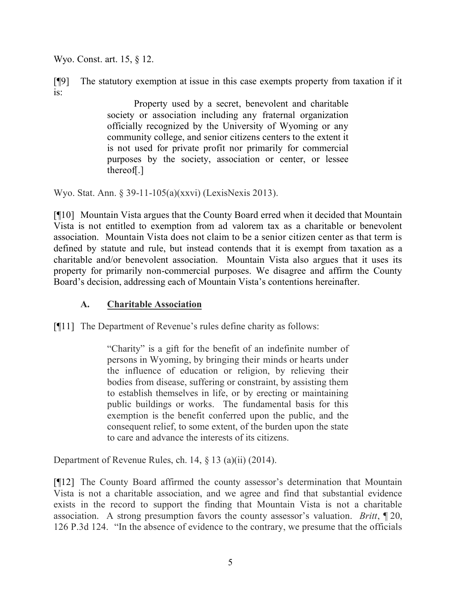Wyo. Const. art. 15, § 12.

[¶9] The statutory exemption at issue in this case exempts property from taxation if it is:

> Property used by a secret, benevolent and charitable society or association including any fraternal organization officially recognized by the University of Wyoming or any community college, and senior citizens centers to the extent it is not used for private profit nor primarily for commercial purposes by the society, association or center, or lessee thereof[.]

Wyo. Stat. Ann. § 39-11-105(a)(xxvi) (LexisNexis 2013).

[¶10] Mountain Vista argues that the County Board erred when it decided that Mountain Vista is not entitled to exemption from ad valorem tax as a charitable or benevolent association. Mountain Vista does not claim to be a senior citizen center as that term is defined by statute and rule, but instead contends that it is exempt from taxation as a charitable and/or benevolent association. Mountain Vista also argues that it uses its property for primarily non-commercial purposes. We disagree and affirm the County Board's decision, addressing each of Mountain Vista's contentions hereinafter.

# **A. Charitable Association**

[¶11] The Department of Revenue's rules define charity as follows:

"Charity" is a gift for the benefit of an indefinite number of persons in Wyoming, by bringing their minds or hearts under the influence of education or religion, by relieving their bodies from disease, suffering or constraint, by assisting them to establish themselves in life, or by erecting or maintaining public buildings or works. The fundamental basis for this exemption is the benefit conferred upon the public, and the consequent relief, to some extent, of the burden upon the state to care and advance the interests of its citizens.

Department of Revenue Rules, ch. 14, § 13 (a)(ii) (2014).

[¶12] The County Board affirmed the county assessor's determination that Mountain Vista is not a charitable association, and we agree and find that substantial evidence exists in the record to support the finding that Mountain Vista is not a charitable association. A strong presumption favors the county assessor's valuation. *Britt*, ¶ 20, 126 P.3d 124. "In the absence of evidence to the contrary, we presume that the officials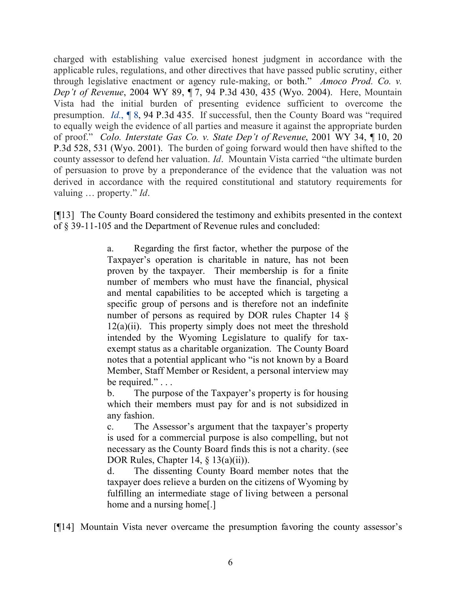charged with establishing value exercised honest judgment in accordance with the applicable rules, regulations, and other directives that have passed public scrutiny, either through legislative enactment or agency rule-making, or both." *Amoco Prod. Co. v. Dep't of Revenue*, 2004 WY 89, ¶ 7, 94 P.3d 430, 435 (Wyo. 2004). Here, Mountain Vista had the initial burden of presenting evidence sufficient to overcome the presumption. *Id.*, ¶ 8, 94 P.3d 435. If successful, then the County Board was "required to equally weigh the evidence of all parties and measure it against the appropriate burden of proof." *Colo. Interstate Gas Co. v. State Dep't of Revenue*, 2001 WY 34, ¶ 10, 20 P.3d 528, 531 (Wyo. 2001). The burden of going forward would then have shifted to the county assessor to defend her valuation. *Id*. Mountain Vista carried "the ultimate burden of persuasion to prove by a preponderance of the evidence that the valuation was not derived in accordance with the required constitutional and statutory requirements for valuing … property." *Id*.

[¶13] The County Board considered the testimony and exhibits presented in the context of § 39-11-105 and the Department of Revenue rules and concluded:

> a. Regarding the first factor, whether the purpose of the Taxpayer's operation is charitable in nature, has not been proven by the taxpayer. Their membership is for a finite number of members who must have the financial, physical and mental capabilities to be accepted which is targeting a specific group of persons and is therefore not an indefinite number of persons as required by DOR rules Chapter 14 §  $12(a)(ii)$ . This property simply does not meet the threshold intended by the Wyoming Legislature to qualify for taxexempt status as a charitable organization. The County Board notes that a potential applicant who "is not known by a Board Member, Staff Member or Resident, a personal interview may be required." . . .

> b. The purpose of the Taxpayer's property is for housing which their members must pay for and is not subsidized in any fashion.

> c. The Assessor's argument that the taxpayer's property is used for a commercial purpose is also compelling, but not necessary as the County Board finds this is not a charity. (see DOR Rules, Chapter 14, § 13(a)(ii)).

> d. The dissenting County Board member notes that the taxpayer does relieve a burden on the citizens of Wyoming by fulfilling an intermediate stage of living between a personal home and a nursing home[.]

[¶14] Mountain Vista never overcame the presumption favoring the county assessor's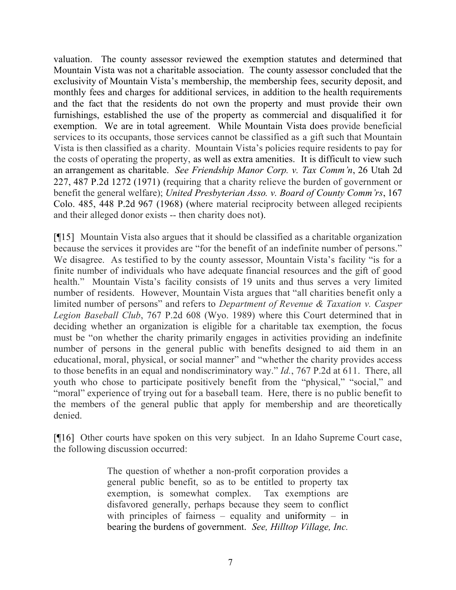valuation. The county assessor reviewed the exemption statutes and determined that Mountain Vista was not a charitable association. The county assessor concluded that the exclusivity of Mountain Vista's membership, the membership fees, security deposit, and monthly fees and charges for additional services, in addition to the health requirements and the fact that the residents do not own the property and must provide their own furnishings, established the use of the property as commercial and disqualified it for exemption. We are in total agreement. While Mountain Vista does provide beneficial services to its occupants, those services cannot be classified as a gift such that Mountain Vista is then classified as a charity. Mountain Vista's policies require residents to pay for the costs of operating the property, as well as extra amenities. It is difficult to view such an arrangement as charitable. *See Friendship Manor Corp. v. Tax Comm'n*, 26 Utah 2d 227, 487 P.2d 1272 (1971) (requiring that a charity relieve the burden of government or benefit the general welfare); *United Presbyterian Asso. v. Board of County Comm'rs*, 167 Colo. 485, 448 P.2d 967 (1968) (where material reciprocity between alleged recipients and their alleged donor exists -- then charity does not).

[¶15] Mountain Vista also argues that it should be classified as a charitable organization because the services it provides are "for the benefit of an indefinite number of persons." We disagree. As testified to by the county assessor, Mountain Vista's facility "is for a finite number of individuals who have adequate financial resources and the gift of good health." Mountain Vista's facility consists of 19 units and thus serves a very limited number of residents. However, Mountain Vista argues that "all charities benefit only a limited number of persons" and refers to *Department of Revenue & Taxation v. Casper Legion Baseball Club*, 767 P.2d 608 (Wyo. 1989) where this Court determined that in deciding whether an organization is eligible for a charitable tax exemption, the focus must be "on whether the charity primarily engages in activities providing an indefinite number of persons in the general public with benefits designed to aid them in an educational, moral, physical, or social manner" and "whether the charity provides access to those benefits in an equal and nondiscriminatory way." *Id.*, 767 P.2d at 611. There, all youth who chose to participate positively benefit from the "physical," "social," and "moral" experience of trying out for a baseball team. Here, there is no public benefit to the members of the general public that apply for membership and are theoretically denied.

[¶16] Other courts have spoken on this very subject. In an Idaho Supreme Court case, the following discussion occurred:

> The question of whether a non-profit corporation provides a general public benefit, so as to be entitled to property tax exemption, is somewhat complex. Tax exemptions are disfavored generally, perhaps because they seem to conflict with principles of fairness – equality and uniformity – in bearing the burdens of government. *See, Hilltop Village, Inc.*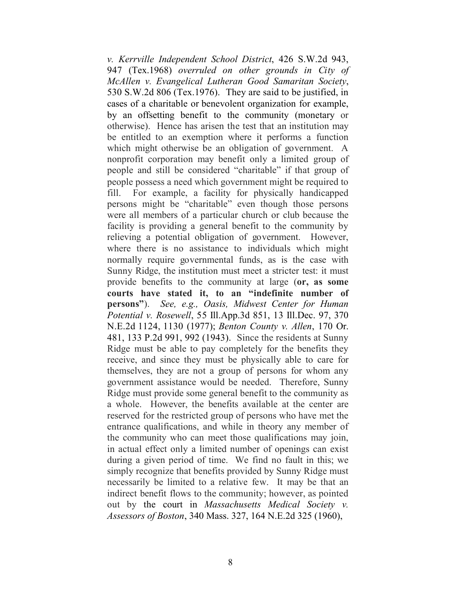*v. Kerrville Independent School District*, 426 S.W.2d 943, 947 (Tex.1968) *overruled on other grounds in City of McAllen v. Evangelical Lutheran Good Samaritan Society*, 530 S.W.2d 806 (Tex.1976). They are said to be justified, in cases of a charitable or benevolent organization for example, by an offsetting benefit to the community (monetary or otherwise). Hence has arisen the test that an institution may be entitled to an exemption where it performs a function which might otherwise be an obligation of government. A nonprofit corporation may benefit only a limited group of people and still be considered "charitable" if that group of people possess a need which government might be required to fill. For example, a facility for physically handicapped persons might be "charitable" even though those persons were all members of a particular church or club because the facility is providing a general benefit to the community by relieving a potential obligation of government. However, where there is no assistance to individuals which might normally require governmental funds, as is the case with Sunny Ridge, the institution must meet a stricter test: it must provide benefits to the community at large (**or, as some courts have stated it, to an "indefinite number of persons"**). *See, e.g., Oasis, Midwest Center for Human Potential v. Rosewell*, 55 Ill.App.3d 851, 13 Ill.Dec. 97, 370 N.E.2d 1124, 1130 (1977); *Benton County v. Allen*, 170 Or. 481, 133 P.2d 991, 992 (1943). Since the residents at Sunny Ridge must be able to pay completely for the benefits they receive, and since they must be physically able to care for themselves, they are not a group of persons for whom any government assistance would be needed. Therefore, Sunny Ridge must provide some general benefit to the community as a whole. However, the benefits available at the center are reserved for the restricted group of persons who have met the entrance qualifications, and while in theory any member of the community who can meet those qualifications may join, in actual effect only a limited number of openings can exist during a given period of time. We find no fault in this; we simply recognize that benefits provided by Sunny Ridge must necessarily be limited to a relative few. It may be that an indirect benefit flows to the community; however, as pointed out by the court in *Massachusetts Medical Society v. Assessors of Boston*, 340 Mass. 327, 164 N.E.2d 325 (1960),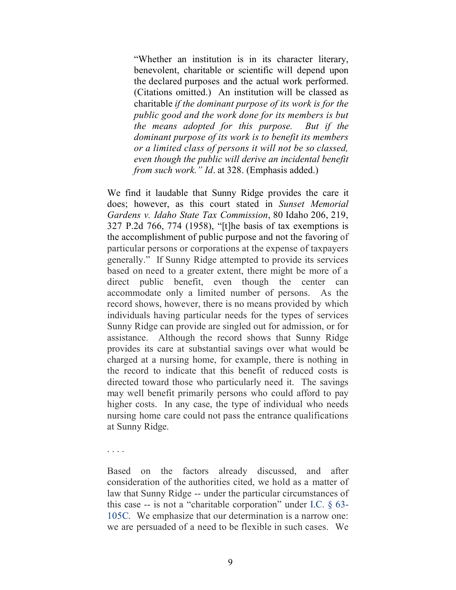"Whether an institution is in its character literary, benevolent, charitable or scientific will depend upon the declared purposes and the actual work performed. (Citations omitted.) An institution will be classed as charitable *if the dominant purpose of its work is for the public good and the work done for its members is but the means adopted for this purpose. But if the dominant purpose of its work is to benefit its members or a limited class of persons it will not be so classed, even though the public will derive an incidental benefit from such work." Id*. at 328. (Emphasis added.)

We find it laudable that Sunny Ridge provides the care it does; however, as this court stated in *Sunset Memorial Gardens v. Idaho State Tax Commission*, 80 Idaho 206, 219, 327 P.2d 766, 774 (1958), "[t]he basis of tax exemptions is the accomplishment of public purpose and not the favoring of particular persons or corporations at the expense of taxpayers generally." If Sunny Ridge attempted to provide its services based on need to a greater extent, there might be more of a direct public benefit, even though the center can accommodate only a limited number of persons. As the record shows, however, there is no means provided by which individuals having particular needs for the types of services Sunny Ridge can provide are singled out for admission, or for assistance. Although the record shows that Sunny Ridge provides its care at substantial savings over what would be charged at a nursing home, for example, there is nothing in the record to indicate that this benefit of reduced costs is directed toward those who particularly need it. The savings may well benefit primarily persons who could afford to pay higher costs. In any case, the type of individual who needs nursing home care could not pass the entrance qualifications at Sunny Ridge.

. . . .

Based on the factors already discussed, and after consideration of the authorities cited, we hold as a matter of law that Sunny Ridge -- under the particular circumstances of this case -- is not a "charitable corporation" under I.C. § 63- 105C. We emphasize that our determination is a narrow one: we are persuaded of a need to be flexible in such cases. We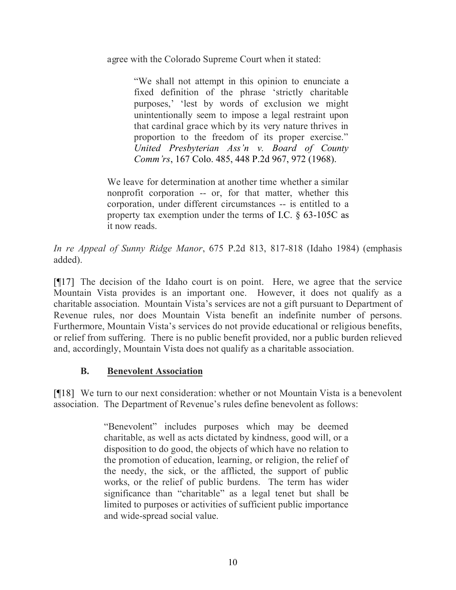agree with the Colorado Supreme Court when it stated:

"We shall not attempt in this opinion to enunciate a fixed definition of the phrase 'strictly charitable purposes,' 'lest by words of exclusion we might unintentionally seem to impose a legal restraint upon that cardinal grace which by its very nature thrives in proportion to the freedom of its proper exercise." *United Presbyterian Ass'n v. Board of County Comm'rs*, 167 Colo. 485, 448 P.2d 967, 972 (1968).

We leave for determination at another time whether a similar nonprofit corporation -- or, for that matter, whether this corporation, under different circumstances -- is entitled to a property tax exemption under the terms of I.C. § 63-105C as it now reads.

*In re Appeal of Sunny Ridge Manor*, 675 P.2d 813, 817-818 (Idaho 1984) (emphasis added).

[¶17] The decision of the Idaho court is on point. Here, we agree that the service Mountain Vista provides is an important one. However, it does not qualify as a charitable association. Mountain Vista's services are not a gift pursuant to Department of Revenue rules, nor does Mountain Vista benefit an indefinite number of persons. Furthermore, Mountain Vista's services do not provide educational or religious benefits, or relief from suffering. There is no public benefit provided, nor a public burden relieved and, accordingly, Mountain Vista does not qualify as a charitable association.

# **B. Benevolent Association**

[¶18] We turn to our next consideration: whether or not Mountain Vista is a benevolent association. The Department of Revenue's rules define benevolent as follows:

> "Benevolent" includes purposes which may be deemed charitable, as well as acts dictated by kindness, good will, or a disposition to do good, the objects of which have no relation to the promotion of education, learning, or religion, the relief of the needy, the sick, or the afflicted, the support of public works, or the relief of public burdens. The term has wider significance than "charitable" as a legal tenet but shall be limited to purposes or activities of sufficient public importance and wide-spread social value.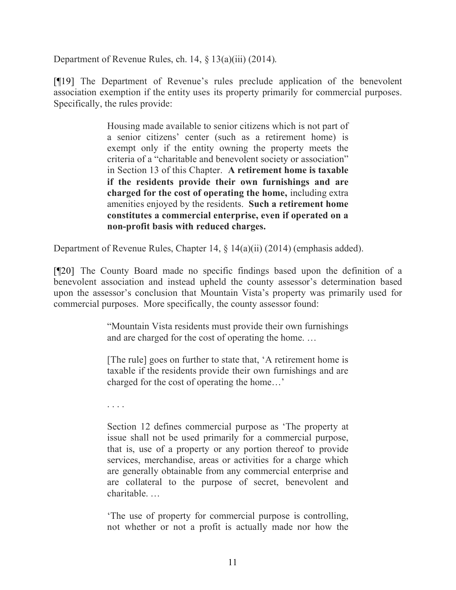Department of Revenue Rules, ch. 14, § 13(a)(iii) (2014).

[¶19] The Department of Revenue's rules preclude application of the benevolent association exemption if the entity uses its property primarily for commercial purposes. Specifically, the rules provide:

> Housing made available to senior citizens which is not part of a senior citizens' center (such as a retirement home) is exempt only if the entity owning the property meets the criteria of a "charitable and benevolent society or association" in Section 13 of this Chapter. **A retirement home is taxable if the residents provide their own furnishings and are charged for the cost of operating the home,** including extra amenities enjoyed by the residents. **Such a retirement home constitutes a commercial enterprise, even if operated on a non-profit basis with reduced charges.**

Department of Revenue Rules, Chapter 14, § 14(a)(ii) (2014) (emphasis added).

[¶20] The County Board made no specific findings based upon the definition of a benevolent association and instead upheld the county assessor's determination based upon the assessor's conclusion that Mountain Vista's property was primarily used for commercial purposes. More specifically, the county assessor found:

> "Mountain Vista residents must provide their own furnishings and are charged for the cost of operating the home. …

> [The rule] goes on further to state that, 'A retirement home is taxable if the residents provide their own furnishings and are charged for the cost of operating the home…'

. . . .

Section 12 defines commercial purpose as 'The property at issue shall not be used primarily for a commercial purpose, that is, use of a property or any portion thereof to provide services, merchandise, areas or activities for a charge which are generally obtainable from any commercial enterprise and are collateral to the purpose of secret, benevolent and charitable. …

'The use of property for commercial purpose is controlling, not whether or not a profit is actually made nor how the